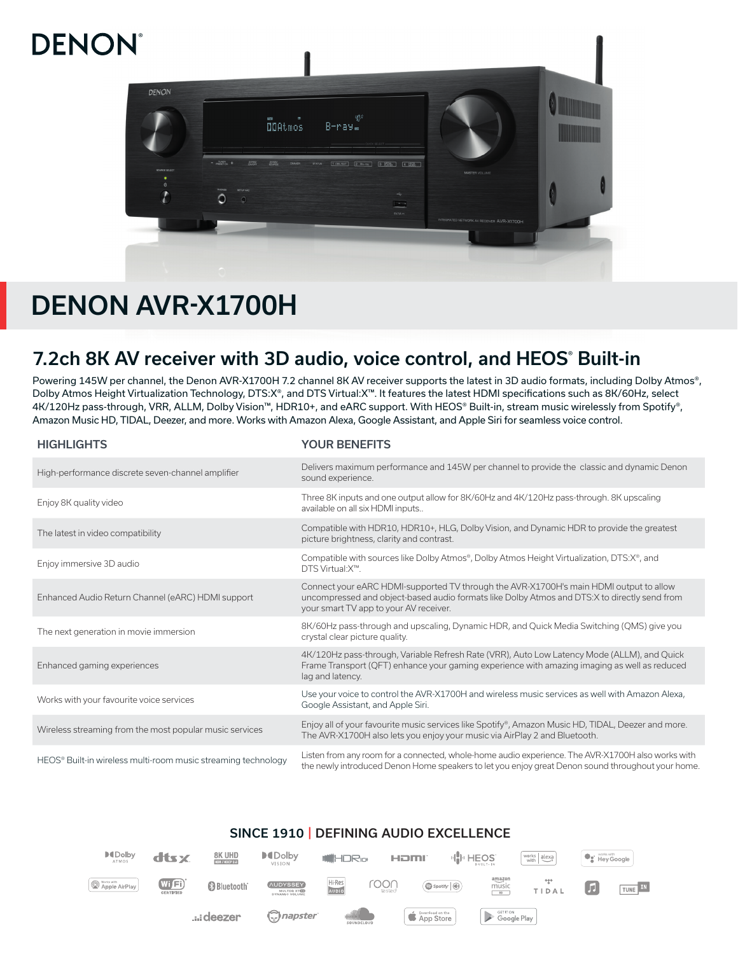# **DENON**



## DENON AVR-X1700H

## 7.2ch 8K AV receiver with 3D audio, voice control, and HEOS® Built-in

Powering 145W per channel, the Denon AVR-X1700H 7.2 channel 8K AV receiver supports the latest in 3D audio formats, including Dolby Atmos®, Dolby Atmos Height Virtualization Technology, DTS:X®, and DTS Virtual:X™. It features the latest HDMI specifications such as 8K/60Hz, select 4K/120Hz pass-through, VRR, ALLM, Dolby Vision™, HDR10+, and eARC support. With HEOS® Built-in, stream music wirelessly from Spotify®, Amazon Music HD, TIDAL, Deezer, and more. Works with Amazon Alexa, Google Assistant, and Apple Siri for seamless voice control.

| <b>HIGHLIGHTS</b>                                             | <b>YOUR BENEFITS</b>                                                                                                                                                                                                              |
|---------------------------------------------------------------|-----------------------------------------------------------------------------------------------------------------------------------------------------------------------------------------------------------------------------------|
| High-performance discrete seven-channel amplifier             | Delivers maximum performance and 145W per channel to provide the classic and dynamic Denon<br>sound experience.                                                                                                                   |
| Enjoy 8K quality video                                        | Three 8K inputs and one output allow for 8K/60Hz and 4K/120Hz pass-through. 8K upscaling<br>available on all six HDMI inputs                                                                                                      |
| The latest in video compatibility                             | Compatible with HDR10, HDR10+, HLG, Dolby Vision, and Dynamic HDR to provide the greatest<br>picture brightness, clarity and contrast.                                                                                            |
| Enjoy immersive 3D audio                                      | Compatible with sources like Dolby Atmos®, Dolby Atmos Height Virtualization, DTS: X®, and<br>DTS Virtual: X™.                                                                                                                    |
| Enhanced Audio Return Channel (eARC) HDMI support             | Connect your eARC HDMI-supported TV through the AVR-X1700H's main HDMI output to allow<br>uncompressed and object-based audio formats like Dolby Atmos and DTS: X to directly send from<br>your smart TV app to your AV receiver. |
| The next generation in movie immersion                        | 8K/60Hz pass-through and upscaling, Dynamic HDR, and Quick Media Switching (QMS) give you<br>crystal clear picture quality.                                                                                                       |
| Enhanced gaming experiences                                   | 4K/120Hz pass-through, Variable Refresh Rate (VRR), Auto Low Latency Mode (ALLM), and Quick<br>Frame Transport (QFT) enhance your gaming experience with amazing imaging as well as reduced<br>lag and latency.                   |
| Works with your favourite voice services                      | Use your voice to control the AVR-X1700H and wireless music services as well with Amazon Alexa,<br>Google Assistant, and Apple Siri.                                                                                              |
| Wireless streaming from the most popular music services       | Enjoy all of your favourite music services like Spotify®, Amazon Music HD, TIDAL, Deezer and more.<br>The AVR-X1700H also lets you enjoy your music via AirPlay 2 and Bluetooth.                                                  |
| HEOS® Built-in wireless multi-room music streaming technology | Listen from any room for a connected, whole-home audio experience. The AVR-X1700H also works with<br>the newly introduced Denon Home speakers to let you enjoy great Denon sound throughout your home.                            |

#### SINCE 1910 | DEFINING AUDIO EXCELLENCE **D**IDolby **MDolby 8K UHD** dtsx **III**II HEOS  $\overline{\text{works} | \text{Alexa}}$ **WIHDR**IGH HOMI **De'** Hey Google VISION amazor Hi-Res<br>AUDIO  $W[E]$ roon Apple AirPlay **Bluetooth AUDYSSEY**  $\bigcirc$  Spotify  $\bigcirc$  $\frac{m}{\sqrt{m}}$ A TUNE IN Germon<br>Google Play **Edeezer** napster App Store